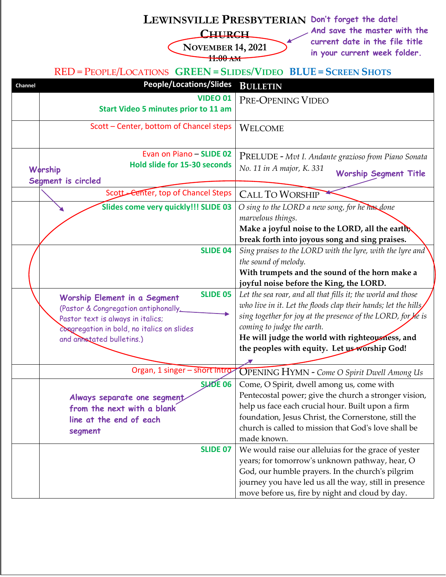## **LEWINSVILLE PRESBYTERIAN Don't forget the date!**

## **CHURCH**

**NOVEMBER 14, 2021 11:00 AM**

**And save the master with the current date in the file title in your current week folder.**

## RED = PEOPLE/LOCATIONS **GREEN = SLIDES/VIDEO BLUE = SCREEN SHOTS**

| Channel | <b>People/Locations/Slides</b>                  | <b>BULLETIN</b>                                                 |
|---------|-------------------------------------------------|-----------------------------------------------------------------|
|         | <b>VIDEO 01</b>                                 | PRE-OPENING VIDEO                                               |
|         | <b>Start Video 5 minutes prior to 11 am</b>     |                                                                 |
|         | Scott - Center, bottom of Chancel steps         | <b>WELCOME</b>                                                  |
|         |                                                 |                                                                 |
|         | Evan on Piano - SLIDE 02                        | PRELUDE - Mvt I. Andante grazioso from Piano Sonata             |
|         | Hold slide for 15-30 seconds<br>Worship         | No. 11 in A major, K. 331<br><b>Worship Segment Title</b>       |
|         | Segment is circled                              |                                                                 |
|         | Scott - Center, top of Chancel Steps            | <b>CALL TO WORSHIP</b>                                          |
|         | Slides come very quickly!!! SLIDE 03            | O sing to the LORD a new song, for he has done                  |
|         |                                                 | marvelous things.                                               |
|         |                                                 | Make a joyful noise to the LORD, all the earth                  |
|         |                                                 | break forth into joyous song and sing praises.                  |
|         | <b>SLIDE 04</b>                                 | Sing praises to the LORD with the lyre, with the lyre and       |
|         |                                                 | the sound of melody.                                            |
|         |                                                 | With trumpets and the sound of the horn make a                  |
|         |                                                 | joyful noise before the King, the LORD.                         |
|         | <b>SLIDE 05</b><br>Worship Element in a Segment | Let the sea roar, and all that fills it; the world and those    |
|         | (Pastor & Congregation antiphonally_            | who live in it. Let the floods clap their hands; let the hills, |
|         | Pastor text is always in italics;               | sing together for joy at the presence of the LORD, for he is    |
|         | congregation in bold, no italics on slides      | coming to judge the earth.                                      |
|         | and annotated bulletins.)                       | He will judge the world with righteousness, and                 |
|         |                                                 | the peoples with equity. Let us worship God!                    |
|         |                                                 |                                                                 |
|         | Organ, 1 singer - short intro-                  | <b>OPENING HYMN</b> - Come O Spirit Dwell Among Us              |
|         | SLHDE 06                                        | Come, O Spirit, dwell among us, come with                       |
|         | Always separate one segment                     | Pentecostal power; give the church a stronger vision,           |
|         | from the next with a blank                      | help us face each crucial hour. Built upon a firm               |
|         | line at the end of each                         | foundation, Jesus Christ, the Cornerstone, still the            |
|         | segment                                         | church is called to mission that God's love shall be            |
|         |                                                 | made known.                                                     |
|         | <b>SLIDE 07</b>                                 | We would raise our alleluias for the grace of yester            |
|         |                                                 | years; for tomorrow's unknown pathway, hear, O                  |
|         |                                                 | God, our humble prayers. In the church's pilgrim                |
|         |                                                 | journey you have led us all the way, still in presence          |
|         |                                                 | move before us, fire by night and cloud by day.                 |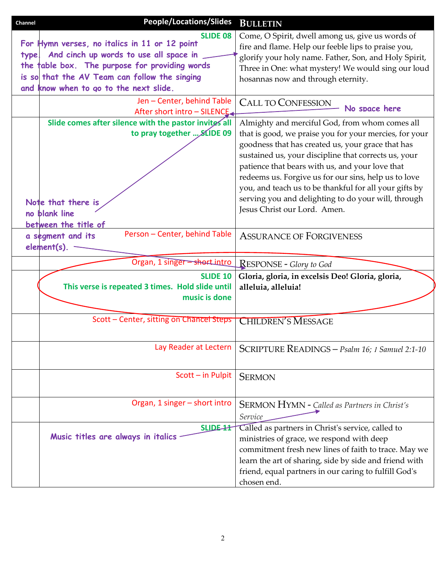| <b>People/Locations/Slides</b><br>Channel             | <b>BULLETIN</b>                                                      |
|-------------------------------------------------------|----------------------------------------------------------------------|
| <b>SLIDE 08</b>                                       | Come, O Spirit, dwell among us, give us words of                     |
| For Hymn verses, no italics in 11 or 12 point         | fire and flame. Help our feeble lips to praise you,                  |
| And cinch up words to use all space in<br>type.       | glorify your holy name. Father, Son, and Holy Spirit,                |
| the table box. The purpose for providing words        | Three in One: what mystery! We would sing our loud                   |
| is so that the AV Team can follow the singing         | hosannas now and through eternity.                                   |
| and know when to go to the next slide.                |                                                                      |
| Jen - Center, behind Table                            | <b>CALL TO CONFESSION</b>                                            |
| After short intro - SILENCE.                          | No space here                                                        |
| Slide comes after silence with the pastor invites all | Almighty and merciful God, from whom comes all                       |
| to pray together  SLIDE 09                            | that is good, we praise you for your mercies, for your               |
|                                                       | goodness that has created us, your grace that has                    |
|                                                       | sustained us, your discipline that corrects us, your                 |
|                                                       | patience that bears with us, and your love that                      |
|                                                       | redeems us. Forgive us for our sins, help us to love                 |
|                                                       | you, and teach us to be thankful for all your gifts by               |
| Note that there is                                    | serving you and delighting to do your will, through                  |
| no blank line                                         | Jesus Christ our Lord. Amen.                                         |
| between the title of                                  |                                                                      |
| Person - Center, behind Table<br>a segment and its    | <b>ASSURANCE OF FORGIVENESS</b>                                      |
| element(s).                                           |                                                                      |
|                                                       |                                                                      |
| Organ, 1 singer = short intro                         | <b>RESPONSE - Glory to God</b>                                       |
| <b>SLIDE 10</b>                                       | Gloria, gloria, in excelsis Deo! Gloria, gloria,                     |
| This verse is repeated 3 times. Hold slide until      | alleluia, alleluia!                                                  |
| music is done                                         |                                                                      |
|                                                       |                                                                      |
|                                                       |                                                                      |
| Scott - Center, sitting on Chancel Steps              | <b>CHILDREN'S MESSAGE</b>                                            |
|                                                       |                                                                      |
| Lay Reader at Lectern                                 |                                                                      |
|                                                       | SCRIPTURE READINGS - Psalm 16; 1 Samuel 2:1-10                       |
|                                                       |                                                                      |
| Scott - in Pulpit                                     | <b>SERMON</b>                                                        |
|                                                       |                                                                      |
| Organ, 1 singer - short intro                         |                                                                      |
|                                                       | <b>SERMON HYMN - Called as Partners in Christ's</b>                  |
|                                                       | Service                                                              |
| <b>SLIDE-11</b><br>Music titles are always in italics | Called as partners in Christ's service, called to                    |
|                                                       | ministries of grace, we respond with deep                            |
|                                                       | commitment fresh new lines of faith to trace. May we                 |
|                                                       | learn the art of sharing, side by side and friend with               |
|                                                       | friend, equal partners in our caring to fulfill God's<br>chosen end. |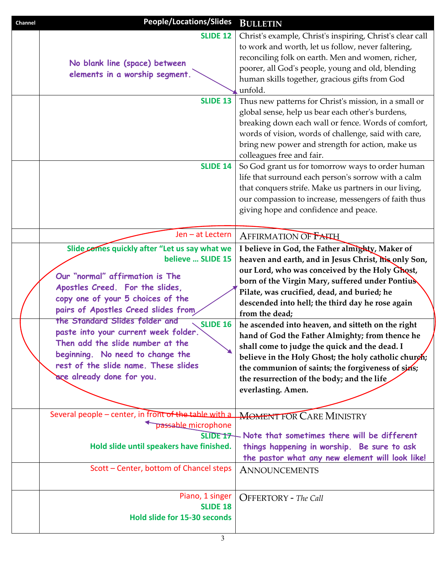| Channel | <b>People/Locations/Slides</b>                                                                                                                                                                                                                                                                                                                                                                                                                                 | <b>BULLETIN</b>                                                                                                                                                                                                                                                                                                                                                                                                                                                                                                                                                                                                                                                             |
|---------|----------------------------------------------------------------------------------------------------------------------------------------------------------------------------------------------------------------------------------------------------------------------------------------------------------------------------------------------------------------------------------------------------------------------------------------------------------------|-----------------------------------------------------------------------------------------------------------------------------------------------------------------------------------------------------------------------------------------------------------------------------------------------------------------------------------------------------------------------------------------------------------------------------------------------------------------------------------------------------------------------------------------------------------------------------------------------------------------------------------------------------------------------------|
|         | <b>SLIDE 12</b><br>No blank line (space) between<br>elements in a worship segment.                                                                                                                                                                                                                                                                                                                                                                             | Christ's example, Christ's inspiring, Christ's clear call<br>to work and worth, let us follow, never faltering,<br>reconciling folk on earth. Men and women, richer,<br>poorer, all God's people, young and old, blending<br>human skills together, gracious gifts from God<br>unfold.                                                                                                                                                                                                                                                                                                                                                                                      |
|         | <b>SLIDE 13</b>                                                                                                                                                                                                                                                                                                                                                                                                                                                | Thus new patterns for Christ's mission, in a small or<br>global sense, help us bear each other's burdens,<br>breaking down each wall or fence. Words of comfort,<br>words of vision, words of challenge, said with care,<br>bring new power and strength for action, make us<br>colleagues free and fair.                                                                                                                                                                                                                                                                                                                                                                   |
|         | <b>SLIDE 14</b>                                                                                                                                                                                                                                                                                                                                                                                                                                                | So God grant us for tomorrow ways to order human<br>life that surround each person's sorrow with a calm<br>that conquers strife. Make us partners in our living,<br>our compassion to increase, messengers of faith thus<br>giving hope and confidence and peace.                                                                                                                                                                                                                                                                                                                                                                                                           |
|         | Jen - at Lectern                                                                                                                                                                                                                                                                                                                                                                                                                                               | <b>AFFIRMATION OF FAITH</b>                                                                                                                                                                                                                                                                                                                                                                                                                                                                                                                                                                                                                                                 |
|         | Slide comes quickly after "Let us say what we<br>believe  SLIDE 15<br>Our "normal" affirmation is The<br>Apostles Creed. For the slides,<br>copy one of your 5 choices of the<br>pairs of Apostles Creed slides from<br>the Standard Slides folder and<br><b>SLIDE 16</b><br>paste into your current week folder.<br>Then add the slide number at the<br>beginning. No need to change the<br>rest of the slide name. These slides<br>are already done for you. | I believe in God, the Father almighty, Maker of<br>heaven and earth, and in Jesus Christ, his only Son,<br>our Lord, who was conceived by the Holy Ghost,<br>born of the Virgin Mary, suffered under Pontius<br>Pilate, was crucified, dead, and buried; he<br>descended into hell; the third day he rose again<br>from the dead;<br>he ascended into heaven, and sitteth on the right<br>hand of God the Father Almighty; from thence he<br>shall come to judge the quick and the dead. I<br>believe in the Holy Ghost; the holy catholic churgh;<br>the communion of saints; the forgiveness of sins;<br>the resurrection of the body; and the life<br>everlasting. Amen. |
|         | Several people - center, in front of the table with a<br>passable microphone<br>SLIDE <sub>17</sub><br>Hold slide until speakers have finished.                                                                                                                                                                                                                                                                                                                | <b>MOMENT FOR CARE MINISTRY</b><br>Note that sometimes there will be different<br>things happening in worship. Be sure to ask<br>the pastor what any new element will look like!                                                                                                                                                                                                                                                                                                                                                                                                                                                                                            |
|         | Scott - Center, bottom of Chancel steps                                                                                                                                                                                                                                                                                                                                                                                                                        | <b>ANNOUNCEMENTS</b>                                                                                                                                                                                                                                                                                                                                                                                                                                                                                                                                                                                                                                                        |
|         | Piano, 1 singer<br><b>SLIDE 18</b><br>Hold slide for 15-30 seconds                                                                                                                                                                                                                                                                                                                                                                                             | <b>OFFERTORY</b> - The Call                                                                                                                                                                                                                                                                                                                                                                                                                                                                                                                                                                                                                                                 |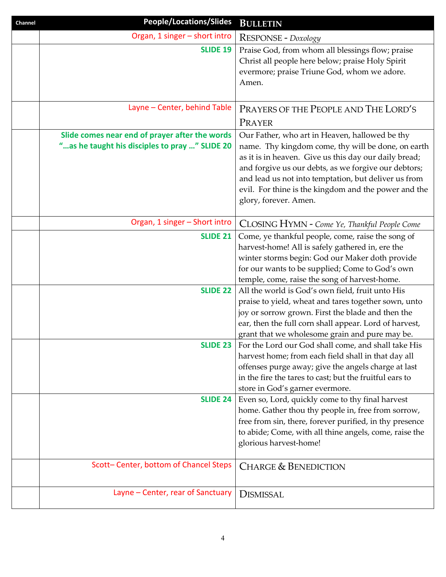| Channel | <b>People/Locations/Slides</b>                                                                    | <b>BULLETIN</b>                                                                                                                                                                                                                                                                                                                                                |
|---------|---------------------------------------------------------------------------------------------------|----------------------------------------------------------------------------------------------------------------------------------------------------------------------------------------------------------------------------------------------------------------------------------------------------------------------------------------------------------------|
|         | Organ, 1 singer - short intro                                                                     | RESPONSE - Doxology                                                                                                                                                                                                                                                                                                                                            |
|         | <b>SLIDE 19</b>                                                                                   | Praise God, from whom all blessings flow; praise<br>Christ all people here below; praise Holy Spirit<br>evermore; praise Triune God, whom we adore.<br>Amen.                                                                                                                                                                                                   |
|         | Layne - Center, behind Table                                                                      | PRAYERS OF THE PEOPLE AND THE LORD'S<br>PRAYER                                                                                                                                                                                                                                                                                                                 |
|         | Slide comes near end of prayer after the words<br>" as he taught his disciples to pray " SLIDE 20 | Our Father, who art in Heaven, hallowed be thy<br>name. Thy kingdom come, thy will be done, on earth<br>as it is in heaven. Give us this day our daily bread;<br>and forgive us our debts, as we forgive our debtors;<br>and lead us not into temptation, but deliver us from<br>evil. For thine is the kingdom and the power and the<br>glory, forever. Amen. |
|         | Organ, 1 singer - Short intro                                                                     | CLOSING HYMN - Come Ye, Thankful People Come                                                                                                                                                                                                                                                                                                                   |
|         | <b>SLIDE 21</b>                                                                                   | Come, ye thankful people, come, raise the song of<br>harvest-home! All is safely gathered in, ere the<br>winter storms begin: God our Maker doth provide<br>for our wants to be supplied; Come to God's own<br>temple, come, raise the song of harvest-home.                                                                                                   |
|         | <b>SLIDE 22</b>                                                                                   | All the world is God's own field, fruit unto His<br>praise to yield, wheat and tares together sown, unto<br>joy or sorrow grown. First the blade and then the<br>ear, then the full corn shall appear. Lord of harvest,<br>grant that we wholesome grain and pure may be.                                                                                      |
|         |                                                                                                   | <b>SLIDE 23</b>   For the Lord our God shall come, and shall take His<br>harvest home; from each field shall in that day all<br>offenses purge away; give the angels charge at last<br>in the fire the tares to cast; but the fruitful ears to<br>store in God's garner evermore.                                                                              |
|         | <b>SLIDE 24</b>                                                                                   | Even so, Lord, quickly come to thy final harvest<br>home. Gather thou thy people in, free from sorrow,<br>free from sin, there, forever purified, in thy presence<br>to abide; Come, with all thine angels, come, raise the<br>glorious harvest-home!                                                                                                          |
|         | Scott-Center, bottom of Chancel Steps                                                             | <b>CHARGE &amp; BENEDICTION</b>                                                                                                                                                                                                                                                                                                                                |
|         | Layne - Center, rear of Sanctuary                                                                 | <b>DISMISSAL</b>                                                                                                                                                                                                                                                                                                                                               |